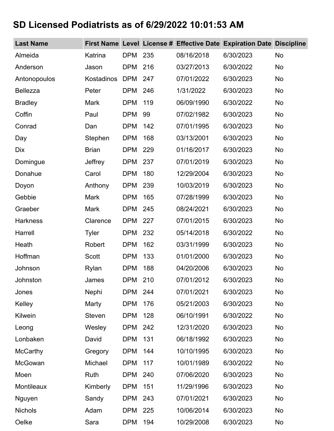## **SD Licensed Podiatrists as of 6/29/2022 10:01:53 AM**

| <b>Last Name</b> |              |            |     |            | First Name Level License # Effective Date Expiration Date Discipline |           |
|------------------|--------------|------------|-----|------------|----------------------------------------------------------------------|-----------|
| Almeida          | Katrina      | <b>DPM</b> | 235 | 08/16/2018 | 6/30/2023                                                            | <b>No</b> |
| Anderson         | Jason        | <b>DPM</b> | 216 | 03/27/2013 | 6/30/2022                                                            | <b>No</b> |
| Antonopoulos     | Kostadinos   | <b>DPM</b> | 247 | 07/01/2022 | 6/30/2023                                                            | <b>No</b> |
| <b>Bellezza</b>  | Peter        | <b>DPM</b> | 246 | 1/31/2022  | 6/30/2023                                                            | <b>No</b> |
| <b>Bradley</b>   | <b>Mark</b>  | <b>DPM</b> | 119 | 06/09/1990 | 6/30/2022                                                            | <b>No</b> |
| Coffin           | Paul         | <b>DPM</b> | 99  | 07/02/1982 | 6/30/2023                                                            | <b>No</b> |
| Conrad           | Dan          | <b>DPM</b> | 142 | 07/01/1995 | 6/30/2023                                                            | <b>No</b> |
| Day              | Stephen      | <b>DPM</b> | 168 | 03/13/2001 | 6/30/2023                                                            | <b>No</b> |
| <b>Dix</b>       | <b>Brian</b> | <b>DPM</b> | 229 | 01/16/2017 | 6/30/2023                                                            | <b>No</b> |
| Domingue         | Jeffrey      | <b>DPM</b> | 237 | 07/01/2019 | 6/30/2023                                                            | <b>No</b> |
| Donahue          | Carol        | <b>DPM</b> | 180 | 12/29/2004 | 6/30/2023                                                            | <b>No</b> |
| Doyon            | Anthony      | <b>DPM</b> | 239 | 10/03/2019 | 6/30/2023                                                            | <b>No</b> |
| Gebbie           | <b>Mark</b>  | <b>DPM</b> | 165 | 07/28/1999 | 6/30/2023                                                            | <b>No</b> |
| Graeber          | <b>Mark</b>  | <b>DPM</b> | 245 | 08/24/2021 | 6/30/2023                                                            | <b>No</b> |
| <b>Harkness</b>  | Clarence     | <b>DPM</b> | 227 | 07/01/2015 | 6/30/2023                                                            | <b>No</b> |
| Harrell          | <b>Tyler</b> | <b>DPM</b> | 232 | 05/14/2018 | 6/30/2022                                                            | <b>No</b> |
| Heath            | Robert       | <b>DPM</b> | 162 | 03/31/1999 | 6/30/2023                                                            | <b>No</b> |
| Hoffman          | <b>Scott</b> | <b>DPM</b> | 133 | 01/01/2000 | 6/30/2023                                                            | No        |
| Johnson          | Rylan        | <b>DPM</b> | 188 | 04/20/2006 | 6/30/2023                                                            | No        |
| Johnston         | James        | <b>DPM</b> | 210 | 07/01/2012 | 6/30/2023                                                            | <b>No</b> |
| Jones            | Nephi        | <b>DPM</b> | 244 | 07/01/2021 | 6/30/2023                                                            | No        |
| Kelley           | Marty        | <b>DPM</b> | 176 | 05/21/2003 | 6/30/2023                                                            | <b>No</b> |
| Kilwein          | Steven       | <b>DPM</b> | 128 | 06/10/1991 | 6/30/2022                                                            | <b>No</b> |
| Leong            | Wesley       | <b>DPM</b> | 242 | 12/31/2020 | 6/30/2023                                                            | <b>No</b> |
| Lonbaken         | David        | <b>DPM</b> | 131 | 06/18/1992 | 6/30/2023                                                            | <b>No</b> |
| <b>McCarthy</b>  | Gregory      | <b>DPM</b> | 144 | 10/10/1995 | 6/30/2023                                                            | No        |
| McGowan          | Michael      | <b>DPM</b> | 117 | 10/01/1989 | 6/30/2022                                                            | <b>No</b> |
| Moen             | Ruth         | <b>DPM</b> | 240 | 07/06/2020 | 6/30/2023                                                            | <b>No</b> |
| Montileaux       | Kimberly     | <b>DPM</b> | 151 | 11/29/1996 | 6/30/2023                                                            | <b>No</b> |
| Nguyen           | Sandy        | <b>DPM</b> | 243 | 07/01/2021 | 6/30/2023                                                            | <b>No</b> |
| <b>Nichols</b>   | Adam         | DPM        | 225 | 10/06/2014 | 6/30/2023                                                            | No        |
| Oelke            | Sara         | <b>DPM</b> | 194 | 10/29/2008 | 6/30/2023                                                            | No        |